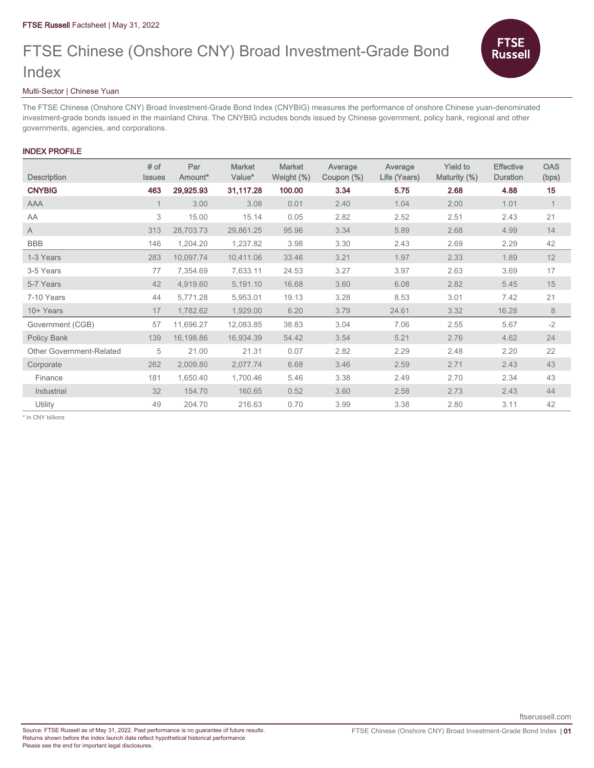# FTSE Chinese (Onshore CNY) Broad Investment-Grade Bond Index



### Multi-Sector | Chinese Yuan

The FTSE Chinese (Onshore CNY) Broad Investment-Grade Bond Index (CNYBIG) measures the performance of onshore Chinese yuan-denominated investment-grade bonds issued in the mainland China. The CNYBIG includes bonds issued by Chinese government, policy bank, regional and other governments, agencies, and corporations.

## INDEX PROFILE

| <b>Description</b>       | $#$ of<br><b>Issues</b> | Par<br>Amount* | <b>Market</b><br>Value* | <b>Market</b><br>Weight (%) | Average<br>Coupon (%) | Average<br>Life (Years) | <b>Yield to</b><br>Maturity (%) | <b>Effective</b><br><b>Duration</b> | <b>OAS</b><br>(bps) |
|--------------------------|-------------------------|----------------|-------------------------|-----------------------------|-----------------------|-------------------------|---------------------------------|-------------------------------------|---------------------|
| <b>CNYBIG</b>            | 463                     | 29,925.93      | 31,117.28               | 100.00                      | 3.34                  | 5.75                    | 2.68                            | 4.88                                | 15                  |
| <b>AAA</b>               |                         | 3.00           | 3.08                    | 0.01                        | 2.40                  | 1.04                    | 2.00                            | 1.01                                | $\mathbf{1}$        |
| AA                       | 3                       | 15.00          | 15.14                   | 0.05                        | 2.82                  | 2.52                    | 2.51                            | 2.43                                | 21                  |
| A                        | 313                     | 28,703.73      | 29,861.25               | 95.96                       | 3.34                  | 5.89                    | 2.68                            | 4.99                                | 14                  |
| <b>BBB</b>               | 146                     | 1,204.20       | 1,237.82                | 3.98                        | 3.30                  | 2.43                    | 2.69                            | 2.29                                | 42                  |
| 1-3 Years                | 283                     | 10,097.74      | 10,411.06               | 33.46                       | 3.21                  | 1.97                    | 2.33                            | 1.89                                | 12                  |
| 3-5 Years                | 77                      | 7,354.69       | 7,633.11                | 24.53                       | 3.27                  | 3.97                    | 2.63                            | 3.69                                | 17                  |
| 5-7 Years                | 42                      | 4,919.60       | 5,191.10                | 16.68                       | 3.60                  | 6.08                    | 2.82                            | 5.45                                | 15                  |
| 7-10 Years               | 44                      | 5,771.28       | 5,953.01                | 19.13                       | 3.28                  | 8.53                    | 3.01                            | 7.42                                | 21                  |
| 10+ Years                | 17                      | 1,782.62       | 1,929.00                | 6.20                        | 3.79                  | 24.61                   | 3.32                            | 16.28                               | 8                   |
| Government (CGB)         | 57                      | 11,696.27      | 12,083.85               | 38.83                       | 3.04                  | 7.06                    | 2.55                            | 5.67                                | $-2$                |
| Policy Bank              | 139                     | 16,198.86      | 16,934.39               | 54.42                       | 3.54                  | 5.21                    | 2.76                            | 4.62                                | 24                  |
| Other Government-Related | 5                       | 21.00          | 21.31                   | 0.07                        | 2.82                  | 2.29                    | 2.48                            | 2.20                                | 22                  |
| Corporate                | 262                     | 2,009.80       | 2,077.74                | 6.68                        | 3.46                  | 2.59                    | 2.71                            | 2.43                                | 43                  |
| Finance                  | 181                     | 1,650.40       | 1,700.46                | 5.46                        | 3.38                  | 2.49                    | 2.70                            | 2.34                                | 43                  |
| Industrial               | 32                      | 154.70         | 160.65                  | 0.52                        | 3.60                  | 2.58                    | 2.73                            | 2.43                                | 44                  |
| Utility                  | 49                      | 204.70         | 216.63                  | 0.70                        | 3.99                  | 3.38                    | 2.80                            | 3.11                                | 42                  |

\* In CNY billions

ftserussell.com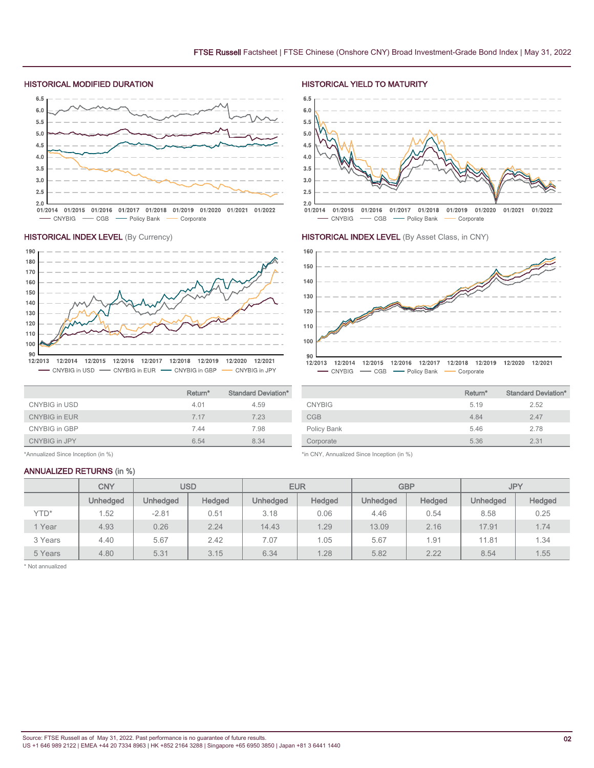### HISTORICAL MODIFIED DURATION HISTORICAL YIELD TO MATURITY

**HISTORICAL INDEX LEVEL** (By Currency)



### 190 180 170 160 150 140 130 120 110 100

### 90 12/2013 12/2014 12/2015 12/2016 12/2017 12/2018 12/2019 12/2020 12/2021

- CNYBIG in USD - CNYBIG in EUR - CNYBIG in GBP - CNYBIG in JPY

|                      | Return <sup>*</sup> | <b>Standard Deviation*</b> |
|----------------------|---------------------|----------------------------|
| CNYBIG in USD        | 4.01                | 4.59                       |
| <b>CNYBIG in EUR</b> | 7 17                | 7.23                       |
| CNYBIG in GBP        | 7.44                | 7.98                       |
| CNYBIG in JPY        | 6.54                | 8.34                       |

\*Annualized Since Inception (in %)

### ANNUALIZED RETURNS (in %)



### HISTORICAL INDEX LEVEL (By Asset Class, in CNY)



| Return* | <b>Standard Deviation*</b> |
|---------|----------------------------|
| 5.19    | 2.52                       |
| 4.84    | 2.47                       |
| 5.46    | 2.78                       |
| 5.36    | 2.31                       |
|         |                            |

\*in CNY, Annualized Since Inception (in %)

|         | <b>CNY</b>      | USD             |        | <b>EUR</b>      |        | <b>GBP</b>      |        | <b>JPY</b>      |               |
|---------|-----------------|-----------------|--------|-----------------|--------|-----------------|--------|-----------------|---------------|
|         | <b>Unhedged</b> | <b>Unhedged</b> | Hedged | <b>Unhedged</b> | Hedged | <b>Unhedged</b> | Hedged | <b>Unhedged</b> | <b>Hedged</b> |
| YTD*    | . 52            | $-2.81$         | 0.51   | 3.18            | 0.06   | 4.46            | 0.54   | 8.58            | 0.25          |
| 1 Year  | 4.93            | 0.26            | 2.24   | 14.43           | 1.29   | 13.09           | 2.16   | 17.91           | 1.74          |
| 3 Years | 4.40            | 5.67            | 2.42   | 7.07            | 1.05   | 5.67            | 1.91   | 11.81           | 1.34          |
| 5 Years | 4.80            | 5.31            | 3.15   | 6.34            | 1.28   | 5.82            | 2.22   | 8.54            | 1.55          |

\* Not annualized